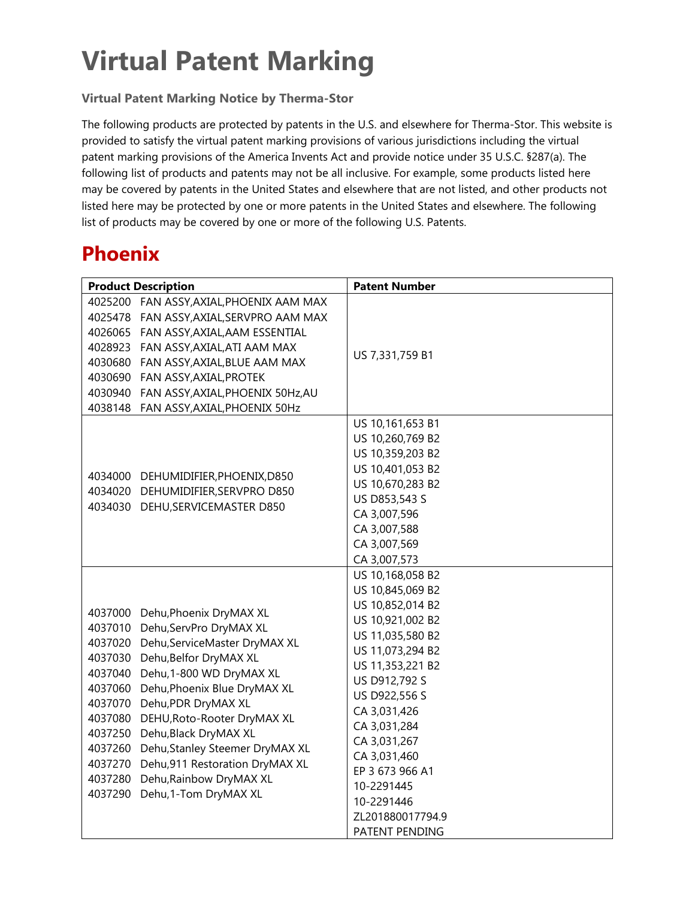# **Virtual Patent Marking**

#### **Virtual Patent Marking Notice by Therma-Stor**

The following products are protected by patents in the U.S. and elsewhere for Therma-Stor. This website is provided to satisfy the virtual patent marking provisions of various jurisdictions including the virtual patent marking provisions of the America Invents Act and provide notice under 35 U.S.C. §287(a). The following list of products and patents may not be all inclusive. For example, some products listed here may be covered by patents in the United States and elsewhere that are not listed, and other products not listed here may be protected by one or more patents in the United States and elsewhere. The following list of products may be covered by one or more of the following U.S. Patents.

### **Phoenix**

| <b>Product Description</b>                                                                                                                                                                                                                                                                                                                                                                                                                                                                 | <b>Patent Number</b>                                                                                                                                                                                                                                                                                                            |
|--------------------------------------------------------------------------------------------------------------------------------------------------------------------------------------------------------------------------------------------------------------------------------------------------------------------------------------------------------------------------------------------------------------------------------------------------------------------------------------------|---------------------------------------------------------------------------------------------------------------------------------------------------------------------------------------------------------------------------------------------------------------------------------------------------------------------------------|
| 4025200 FAN ASSY, AXIAL, PHOENIX AAM MAX<br>4025478 FAN ASSY, AXIAL, SERVPRO AAM MAX<br>4026065 FAN ASSY, AXIAL, AAM ESSENTIAL<br>4028923 FAN ASSY, AXIAL, ATI AAM MAX<br>4030680 FAN ASSY, AXIAL, BLUE AAM MAX<br>4030690 FAN ASSY, AXIAL, PROTEK<br>4030940 FAN ASSY, AXIAL, PHOENIX 50Hz, AU<br>4038148 FAN ASSY, AXIAL, PHOENIX 50Hz                                                                                                                                                   | US 7,331,759 B1                                                                                                                                                                                                                                                                                                                 |
| 4034000 DEHUMIDIFIER, PHOENIX, D850<br>4034020 DEHUMIDIFIER, SERVPRO D850<br>4034030 DEHU, SERVICEMASTER D850                                                                                                                                                                                                                                                                                                                                                                              | US 10,161,653 B1<br>US 10,260,769 B2<br>US 10,359,203 B2<br>US 10,401,053 B2<br>US 10,670,283 B2<br>US D853,543 S<br>CA 3,007,596<br>CA 3,007,588<br>CA 3,007,569<br>CA 3,007,573                                                                                                                                               |
| 4037000 Dehu, Phoenix DryMAX XL<br>4037010 Dehu, ServPro DryMAX XL<br>4037020 Dehu, Service Master DryMAX XL<br>4037030 Dehu, Belfor DryMAX XL<br>4037040 Dehu, 1-800 WD DryMAX XL<br>4037060 Dehu, Phoenix Blue DryMAX XL<br>4037070 Dehu,PDR DryMAX XL<br>4037080 DEHU, Roto-Rooter DryMAX XL<br>4037250 Dehu, Black DryMAX XL<br>4037260 Dehu, Stanley Steemer DryMAX XL<br>4037270 Dehu, 911 Restoration DryMAX XL<br>4037280 Dehu, Rainbow DryMAX XL<br>4037290 Dehu, 1-Tom DryMAX XL | US 10,168,058 B2<br>US 10,845,069 B2<br>US 10,852,014 B2<br>US 10,921,002 B2<br>US 11,035,580 B2<br>US 11,073,294 B2<br>US 11,353,221 B2<br>US D912,792 S<br>US D922,556 S<br>CA 3,031,426<br>CA 3,031,284<br>CA 3,031,267<br>CA 3,031,460<br>EP 3 673 966 A1<br>10-2291445<br>10-2291446<br>ZL201880017794.9<br>PATENT PENDING |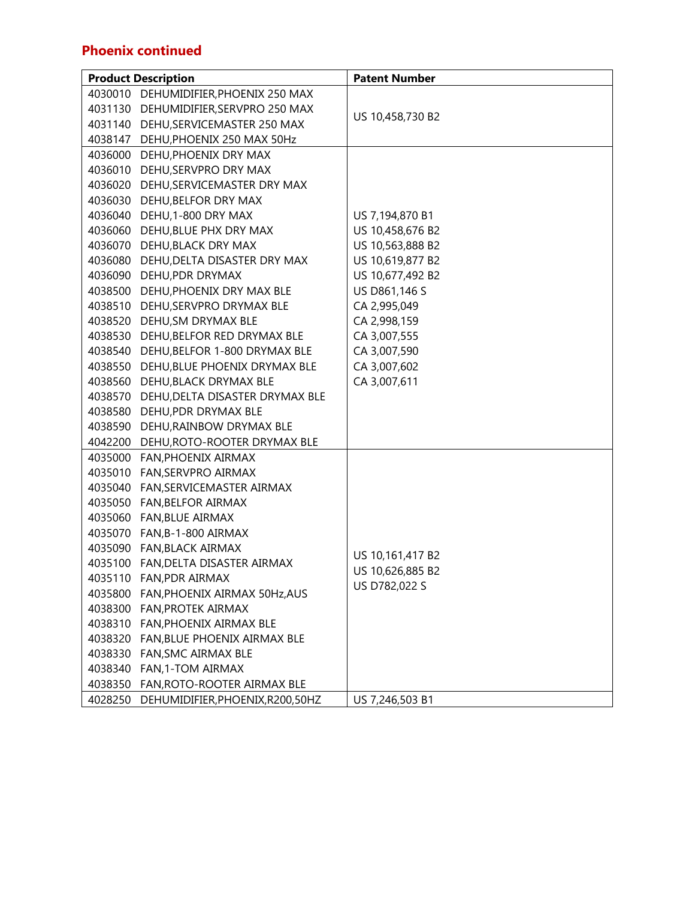#### **Phoenix continued**

|         | <b>Product Description</b>            | <b>Patent Number</b> |
|---------|---------------------------------------|----------------------|
|         | 4030010 DEHUMIDIFIER, PHOENIX 250 MAX |                      |
|         | 4031130 DEHUMIDIFIER, SERVPRO 250 MAX |                      |
|         | 4031140 DEHU, SERVICEMASTER 250 MAX   | US 10,458,730 B2     |
| 4038147 | DEHU, PHOENIX 250 MAX 50Hz            |                      |
|         | 4036000 DEHU, PHOENIX DRY MAX         |                      |
|         | 4036010 DEHU, SERVPRO DRY MAX         |                      |
|         | 4036020 DEHU, SERVICEMASTER DRY MAX   |                      |
|         | 4036030 DEHU, BELFOR DRY MAX          |                      |
|         | 4036040 DEHU, 1-800 DRY MAX           | US 7,194,870 B1      |
|         | 4036060 DEHU, BLUE PHX DRY MAX        | US 10,458,676 B2     |
|         | 4036070 DEHU, BLACK DRY MAX           | US 10,563,888 B2     |
|         | 4036080 DEHU, DELTA DISASTER DRY MAX  | US 10,619,877 B2     |
|         | 4036090 DEHU, PDR DRYMAX              | US 10,677,492 B2     |
|         | 4038500 DEHU, PHOENIX DRY MAX BLE     | US D861,146 S        |
|         | 4038510 DEHU, SERVPRO DRYMAX BLE      | CA 2,995,049         |
|         | 4038520 DEHU, SM DRYMAX BLE           | CA 2,998,159         |
|         | 4038530 DEHU, BELFOR RED DRYMAX BLE   | CA 3,007,555         |
|         | 4038540 DEHU, BELFOR 1-800 DRYMAX BLE | CA 3,007,590         |
|         | 4038550 DEHU, BLUE PHOENIX DRYMAX BLE | CA 3,007,602         |
|         | 4038560 DEHU, BLACK DRYMAX BLE        | CA 3,007,611         |
| 4038570 | DEHU, DELTA DISASTER DRYMAX BLE       |                      |
|         | 4038580 DEHU, PDR DRYMAX BLE          |                      |
|         | 4038590 DEHU, RAINBOW DRYMAX BLE      |                      |
|         | 4042200 DEHU, ROTO-ROOTER DRYMAX BLE  |                      |
|         | 4035000 FAN, PHOENIX AIRMAX           |                      |
|         | 4035010 FAN, SERVPRO AIRMAX           |                      |
|         | 4035040 FAN, SERVICEMASTER AIRMAX     |                      |
|         | 4035050 FAN, BELFOR AIRMAX            |                      |
|         | 4035060 FAN, BLUE AIRMAX              |                      |
|         | 4035070 FAN, B-1-800 AIRMAX           |                      |
|         | 4035090 FAN, BLACK AIRMAX             | US 10,161,417 B2     |
|         | 4035100 FAN, DELTA DISASTER AIRMAX    | US 10,626,885 B2     |
|         | 4035110 FAN, PDR AIRMAX               | US D782,022 S        |
|         | 4035800 FAN, PHOENIX AIRMAX 50Hz, AUS |                      |
| 4038300 | <b>FAN, PROTEK AIRMAX</b>             |                      |
|         | 4038310 FAN, PHOENIX AIRMAX BLE       |                      |
|         | 4038320 FAN, BLUE PHOENIX AIRMAX BLE  |                      |
|         | 4038330 FAN, SMC AIRMAX BLE           |                      |
| 4038340 | FAN,1-TOM AIRMAX                      |                      |
| 4038350 | FAN, ROTO-ROOTER AIRMAX BLE           |                      |
| 4028250 | DEHUMIDIFIER, PHOENIX, R200, 50HZ     | US 7,246,503 B1      |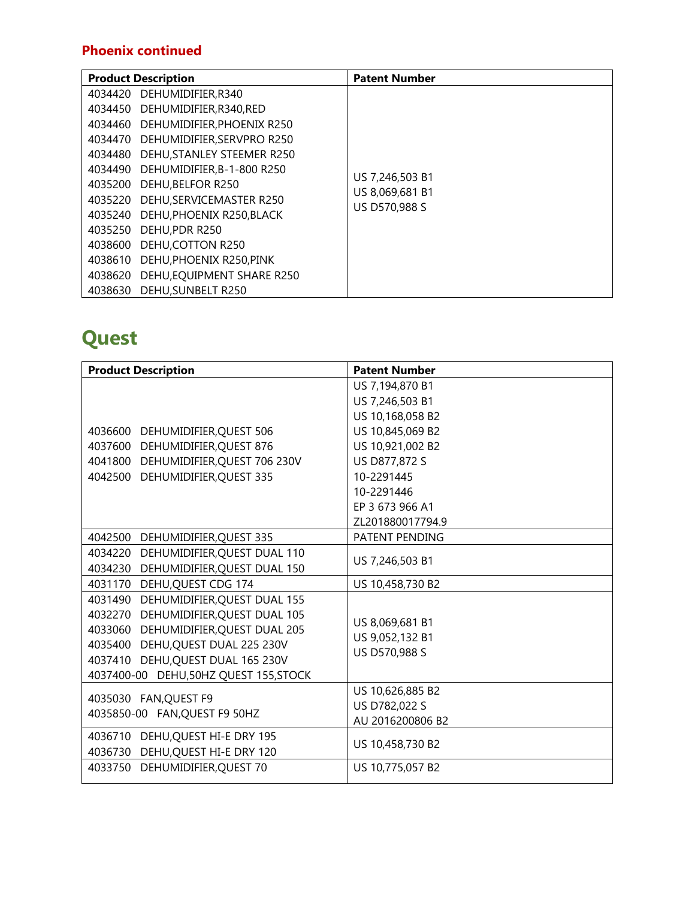#### **Phoenix continued**

|         | <b>Product Description</b>         | <b>Patent Number</b> |
|---------|------------------------------------|----------------------|
|         | 4034420 DEHUMIDIFIER, R340         |                      |
|         | 4034450 DEHUMIDIFIER, R340, RED    |                      |
|         | 4034460 DEHUMIDIFIER, PHOENIX R250 |                      |
|         | 4034470 DEHUMIDIFIER, SERVPRO R250 |                      |
|         | 4034480 DEHU, STANLEY STEEMER R250 |                      |
|         | 4034490 DEHUMIDIFIER, B-1-800 R250 | US 7.246.503 B1      |
|         | 4035200 DEHU, BELFOR R250          | US 8,069,681 B1      |
|         | 4035220 DEHU, SERVICEMASTER R250   | US D570,988 S        |
|         | 4035240 DEHU, PHOENIX R250, BLACK  |                      |
|         | 4035250 DEHU, PDR R250             |                      |
| 4038600 | DEHU, COTTON R250                  |                      |
| 4038610 | DEHU, PHOENIX R250, PINK           |                      |
| 4038620 | DEHU, EQUIPMENT SHARE R250         |                      |
| 4038630 | DEHU, SUNBELT R250                 |                      |

## **Quest**

| <b>Product Description</b>             | <b>Patent Number</b> |
|----------------------------------------|----------------------|
|                                        | US 7,194,870 B1      |
|                                        | US 7,246,503 B1      |
|                                        | US 10,168,058 B2     |
| 4036600 DEHUMIDIFIER, QUEST 506        | US 10,845,069 B2     |
| 4037600 DEHUMIDIFIER, QUEST 876        | US 10,921,002 B2     |
| 4041800 DEHUMIDIFIER, QUEST 706 230V   | US D877,872 S        |
| 4042500 DEHUMIDIFIER, QUEST 335        | 10-2291445           |
|                                        | 10-2291446           |
|                                        | EP 3 673 966 A1      |
|                                        | ZL201880017794.9     |
| 4042500 DEHUMIDIFIER, QUEST 335        | PATENT PENDING       |
| 4034220 DEHUMIDIFIER, QUEST DUAL 110   |                      |
| 4034230 DEHUMIDIFIER, QUEST DUAL 150   | US 7,246,503 B1      |
| 4031170 DEHU, QUEST CDG 174            | US 10,458,730 B2     |
| 4031490 DEHUMIDIFIER, QUEST DUAL 155   |                      |
| 4032270 DEHUMIDIFIER, QUEST DUAL 105   | US 8,069,681 B1      |
| 4033060 DEHUMIDIFIER, QUEST DUAL 205   | US 9,052,132 B1      |
| 4035400 DEHU, QUEST DUAL 225 230V      | US D570,988 S        |
| 4037410 DEHU, QUEST DUAL 165 230V      |                      |
| 4037400-00 DEHU, 50HZ QUEST 155, STOCK |                      |
| 4035030 FAN, QUEST F9                  | US 10,626,885 B2     |
| 4035850-00 FAN, QUEST F9 50HZ          | US D782,022 S        |
|                                        | AU 2016200806 B2     |
| 4036710 DEHU, QUEST HI-E DRY 195       | US 10,458,730 B2     |
| 4036730 DEHU, QUEST HI-E DRY 120       |                      |
| 4033750 DEHUMIDIFIER, QUEST 70         | US 10,775,057 B2     |
|                                        |                      |